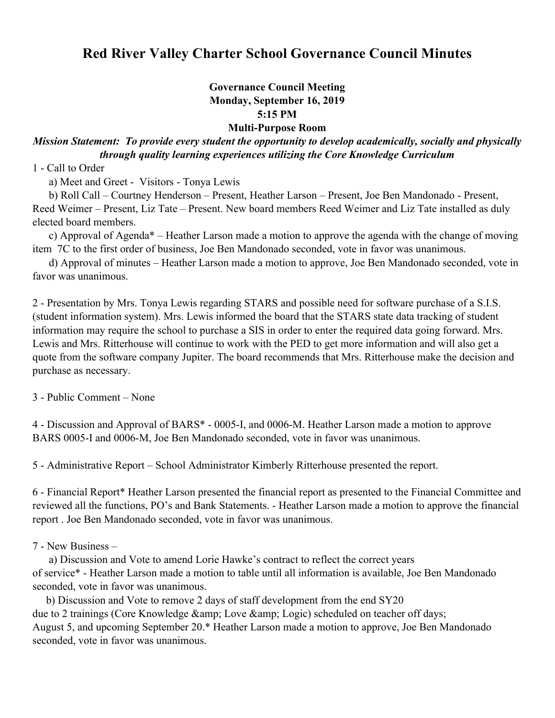## **Red River Valley Charter School Governance Council Minutes**

## **Governance Council Meeting Monday, September 16, 2019 5:15 PM Multi-Purpose Room**

## *Mission Statement: To provide every student the opportunity to develop academically, socially and physically through quality learning experiences utilizing the Core Knowledge Curriculum*

1 - Call to Order

a) Meet and Greet - Visitors - Tonya Lewis

 b) Roll Call – Courtney Henderson – Present, Heather Larson – Present, Joe Ben Mandonado - Present, Reed Weimer – Present, Liz Tate – Present. New board members Reed Weimer and Liz Tate installed as duly elected board members.

 c) Approval of Agenda\* – Heather Larson made a motion to approve the agenda with the change of moving item 7C to the first order of business, Joe Ben Mandonado seconded, vote in favor was unanimous.

 d) Approval of minutes – Heather Larson made a motion to approve, Joe Ben Mandonado seconded, vote in favor was unanimous.

2 - Presentation by Mrs. Tonya Lewis regarding STARS and possible need for software purchase of a S.I.S. (student information system). Mrs. Lewis informed the board that the STARS state data tracking of student information may require the school to purchase a SIS in order to enter the required data going forward. Mrs. Lewis and Mrs. Ritterhouse will continue to work with the PED to get more information and will also get a quote from the software company Jupiter. The board recommends that Mrs. Ritterhouse make the decision and purchase as necessary.

3 - Public Comment – None

4 - Discussion and Approval of BARS\* - 0005-I, and 0006-M. Heather Larson made a motion to approve BARS 0005-I and 0006-M, Joe Ben Mandonado seconded, vote in favor was unanimous.

5 - Administrative Report – School Administrator Kimberly Ritterhouse presented the report.

6 - Financial Report\* Heather Larson presented the financial report as presented to the Financial Committee and reviewed all the functions, PO's and Bank Statements. - Heather Larson made a motion to approve the financial report . Joe Ben Mandonado seconded, vote in favor was unanimous.

7 - New Business –

 a) Discussion and Vote to amend Lorie Hawke's contract to reflect the correct years of service\* - Heather Larson made a motion to table until all information is available, Joe Ben Mandonado seconded, vote in favor was unanimous.

 b) Discussion and Vote to remove 2 days of staff development from the end SY20 due to 2 trainings (Core Knowledge & amp; Love & amp; Logic) scheduled on teacher off days; August 5, and upcoming September 20.\* Heather Larson made a motion to approve, Joe Ben Mandonado seconded, vote in favor was unanimous.